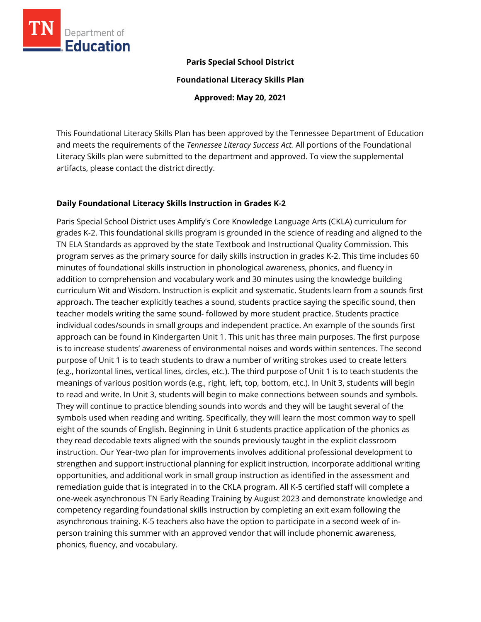

### **Paris Special School District**

**Foundational Literacy Skills Plan**

**Approved: May 20, 2021**

This Foundational Literacy Skills Plan has been approved by the Tennessee Department of Education and meets the requirements of the *Tennessee Literacy Success Act.* All portions of the Foundational Literacy Skills plan were submitted to the department and approved. To view the supplemental artifacts, please contact the district directly.

#### **Daily Foundational Literacy Skills Instruction in Grades K-2**

Paris Special School District uses Amplify's Core Knowledge Language Arts (CKLA) curriculum for grades K-2. This foundational skills program is grounded in the science of reading and aligned to the TN ELA Standards as approved by the state Textbook and Instructional Quality Commission. This program serves as the primary source for daily skills instruction in grades K-2. This time includes 60 minutes of foundational skills instruction in phonological awareness, phonics, and fluency in addition to comprehension and vocabulary work and 30 minutes using the knowledge building curriculum Wit and Wisdom. Instruction is explicit and systematic. Students learn from a sounds first approach. The teacher explicitly teaches a sound, students practice saying the specific sound, then teacher models writing the same sound- followed by more student practice. Students practice individual codes/sounds in small groups and independent practice. An example of the sounds first approach can be found in Kindergarten Unit 1. This unit has three main purposes. The first purpose is to increase students' awareness of environmental noises and words within sentences. The second purpose of Unit 1 is to teach students to draw a number of writing strokes used to create letters (e.g., horizontal lines, vertical lines, circles, etc.). The third purpose of Unit 1 is to teach students the meanings of various position words (e.g., right, left, top, bottom, etc.). In Unit 3, students will begin to read and write. In Unit 3, students will begin to make connections between sounds and symbols. They will continue to practice blending sounds into words and they will be taught several of the symbols used when reading and writing. Specifically, they will learn the most common way to spell eight of the sounds of English. Beginning in Unit 6 students practice application of the phonics as they read decodable texts aligned with the sounds previously taught in the explicit classroom instruction. Our Year-two plan for improvements involves additional professional development to strengthen and support instructional planning for explicit instruction, incorporate additional writing opportunities, and additional work in small group instruction as identified in the assessment and remediation guide that is integrated in to the CKLA program. All K-5 certified staff will complete a one-week asynchronous TN Early Reading Training by August 2023 and demonstrate knowledge and competency regarding foundational skills instruction by completing an exit exam following the asynchronous training. K-5 teachers also have the option to participate in a second week of inperson training this summer with an approved vendor that will include phonemic awareness, phonics, fluency, and vocabulary.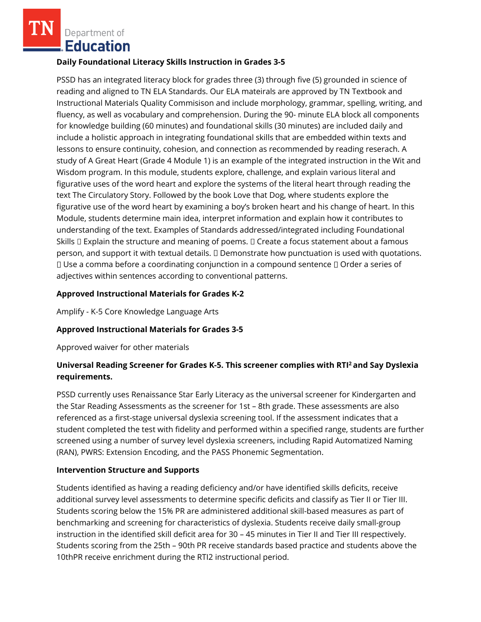Department of **Education** 

#### **Daily Foundational Literacy Skills Instruction in Grades 3-5**

PSSD has an integrated literacy block for grades three (3) through five (5) grounded in science of reading and aligned to TN ELA Standards. Our ELA mateirals are approved by TN Textbook and Instructional Materials Quality Commisison and include morphology, grammar, spelling, writing, and fluency, as well as vocabulary and comprehension. During the 90- minute ELA block all components for knowledge building (60 minutes) and foundational skills (30 minutes) are included daily and include a holistic approach in integrating foundational skills that are embedded within texts and lessons to ensure continuity, cohesion, and connection as recommended by reading reserach. A study of A Great Heart (Grade 4 Module 1) is an example of the integrated instruction in the Wit and Wisdom program. In this module, students explore, challenge, and explain various literal and figurative uses of the word heart and explore the systems of the literal heart through reading the text The Circulatory Story. Followed by the book Love that Dog, where students explore the figurative use of the word heart by examining a boy's broken heart and his change of heart. In this Module, students determine main idea, interpret information and explain how it contributes to understanding of the text. Examples of Standards addressed/integrated including Foundational Skills  $\Box$  Explain the structure and meaning of poems.  $\Box$  Create a focus statement about a famous person, and support it with textual details. Demonstrate how punctuation is used with quotations.  $\Box$  Use a comma before a coordinating conjunction in a compound sentence  $\Box$  Order a series of adjectives within sentences according to conventional patterns.

### **Approved Instructional Materials for Grades K-2**

Amplify - K-5 Core Knowledge Language Arts

### **Approved Instructional Materials for Grades 3-5**

Approved waiver for other materials

# **Universal Reading Screener for Grades K-5. This screener complies with RTI<sup>2</sup>and Say Dyslexia requirements.**

PSSD currently uses Renaissance Star Early Literacy as the universal screener for Kindergarten and the Star Reading Assessments as the screener for 1st – 8th grade. These assessments are also referenced as a first-stage universal dyslexia screening tool. If the assessment indicates that a student completed the test with fidelity and performed within a specified range, students are further screened using a number of survey level dyslexia screeners, including Rapid Automatized Naming (RAN), PWRS: Extension Encoding, and the PASS Phonemic Segmentation.

### **Intervention Structure and Supports**

Students identified as having a reading deficiency and/or have identified skills deficits, receive additional survey level assessments to determine specific deficits and classify as Tier II or Tier III. Students scoring below the 15% PR are administered additional skill-based measures as part of benchmarking and screening for characteristics of dyslexia. Students receive daily small-group instruction in the identified skill deficit area for 30 – 45 minutes in Tier II and Tier III respectively. Students scoring from the 25th – 90th PR receive standards based practice and students above the 10thPR receive enrichment during the RTI2 instructional period.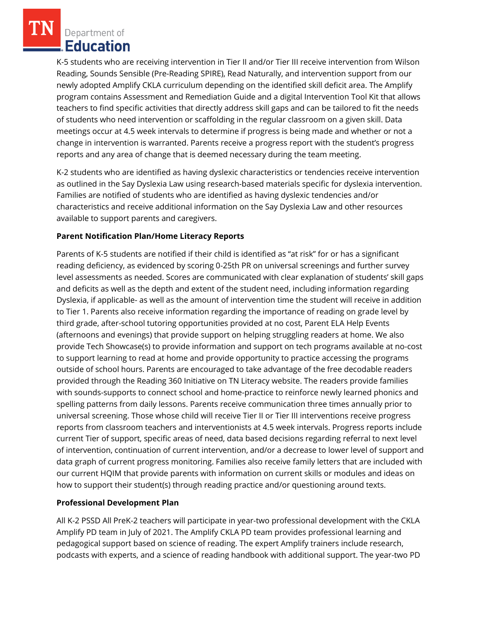Department of **Education** 

K-5 students who are receiving intervention in Tier II and/or Tier III receive intervention from Wilson Reading, Sounds Sensible (Pre-Reading SPIRE), Read Naturally, and intervention support from our newly adopted Amplify CKLA curriculum depending on the identified skill deficit area. The Amplify program contains Assessment and Remediation Guide and a digital Intervention Tool Kit that allows teachers to find specific activities that directly address skill gaps and can be tailored to fit the needs of students who need intervention or scaffolding in the regular classroom on a given skill. Data meetings occur at 4.5 week intervals to determine if progress is being made and whether or not a change in intervention is warranted. Parents receive a progress report with the student's progress reports and any area of change that is deemed necessary during the team meeting.

K-2 students who are identified as having dyslexic characteristics or tendencies receive intervention as outlined in the Say Dyslexia Law using research-based materials specific for dyslexia intervention. Families are notified of students who are identified as having dyslexic tendencies and/or characteristics and receive additional information on the Say Dyslexia Law and other resources available to support parents and caregivers.

## **Parent Notification Plan/Home Literacy Reports**

Parents of K-5 students are notified if their child is identified as "at risk" for or has a significant reading deficiency, as evidenced by scoring 0-25th PR on universal screenings and further survey level assessments as needed. Scores are communicated with clear explanation of students' skill gaps and deficits as well as the depth and extent of the student need, including information regarding Dyslexia, if applicable- as well as the amount of intervention time the student will receive in addition to Tier 1. Parents also receive information regarding the importance of reading on grade level by third grade, after-school tutoring opportunities provided at no cost, Parent ELA Help Events (afternoons and evenings) that provide support on helping struggling readers at home. We also provide Tech Showcase(s) to provide information and support on tech programs available at no-cost to support learning to read at home and provide opportunity to practice accessing the programs outside of school hours. Parents are encouraged to take advantage of the free decodable readers provided through the Reading 360 Initiative on TN Literacy website. The readers provide families with sounds-supports to connect school and home-practice to reinforce newly learned phonics and spelling patterns from daily lessons. Parents receive communication three times annually prior to universal screening. Those whose child will receive Tier II or Tier III interventions receive progress reports from classroom teachers and interventionists at 4.5 week intervals. Progress reports include current Tier of support, specific areas of need, data based decisions regarding referral to next level of intervention, continuation of current intervention, and/or a decrease to lower level of support and data graph of current progress monitoring. Families also receive family letters that are included with our current HQIM that provide parents with information on current skills or modules and ideas on how to support their student(s) through reading practice and/or questioning around texts.

### **Professional Development Plan**

All K-2 PSSD All PreK-2 teachers will participate in year-two professional development with the CKLA Amplify PD team in July of 2021. The Amplify CKLA PD team provides professional learning and pedagogical support based on science of reading. The expert Amplify trainers include research, podcasts with experts, and a science of reading handbook with additional support. The year-two PD